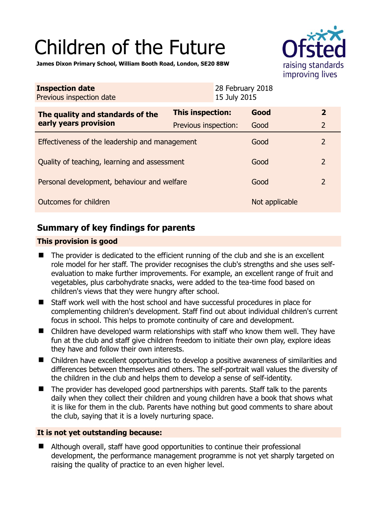# Children of the Future



**James Dixon Primary School, William Booth Road, London, SE20 8BW** 

| <b>Inspection date</b><br>Previous inspection date        |                      | 28 February 2018<br>15 July 2015 |                |                |
|-----------------------------------------------------------|----------------------|----------------------------------|----------------|----------------|
| The quality and standards of the<br>early years provision | This inspection:     |                                  | Good           | $\overline{2}$ |
|                                                           | Previous inspection: |                                  | Good           | $\overline{2}$ |
| Effectiveness of the leadership and management            |                      |                                  | Good           | $\overline{2}$ |
| Quality of teaching, learning and assessment              |                      |                                  | Good           | $\overline{2}$ |
| Personal development, behaviour and welfare               |                      |                                  | Good           | $\overline{2}$ |
| <b>Outcomes for children</b>                              |                      |                                  | Not applicable |                |

# **Summary of key findings for parents**

## **This provision is good**

- The provider is dedicated to the efficient running of the club and she is an excellent role model for her staff. The provider recognises the club's strengths and she uses selfevaluation to make further improvements. For example, an excellent range of fruit and vegetables, plus carbohydrate snacks, were added to the tea-time food based on children's views that they were hungry after school.
- Staff work well with the host school and have successful procedures in place for complementing children's development. Staff find out about individual children's current focus in school. This helps to promote continuity of care and development.
- Children have developed warm relationships with staff who know them well. They have fun at the club and staff give children freedom to initiate their own play, explore ideas they have and follow their own interests.
- Children have excellent opportunities to develop a positive awareness of similarities and differences between themselves and others. The self-portrait wall values the diversity of the children in the club and helps them to develop a sense of self-identity.
- The provider has developed good partnerships with parents. Staff talk to the parents daily when they collect their children and young children have a book that shows what it is like for them in the club. Parents have nothing but good comments to share about the club, saying that it is a lovely nurturing space.

## **It is not yet outstanding because:**

■ Although overall, staff have good opportunities to continue their professional development, the performance management programme is not yet sharply targeted on raising the quality of practice to an even higher level.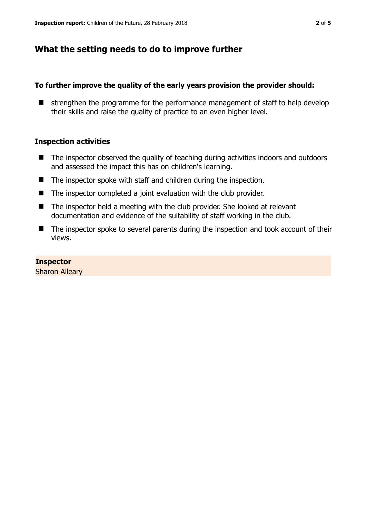## **What the setting needs to do to improve further**

### **To further improve the quality of the early years provision the provider should:**

 $\blacksquare$  strengthen the programme for the performance management of staff to help develop their skills and raise the quality of practice to an even higher level.

#### **Inspection activities**

- The inspector observed the quality of teaching during activities indoors and outdoors and assessed the impact this has on children's learning.
- The inspector spoke with staff and children during the inspection.
- The inspector completed a joint evaluation with the club provider.
- The inspector held a meeting with the club provider. She looked at relevant documentation and evidence of the suitability of staff working in the club.
- The inspector spoke to several parents during the inspection and took account of their views.

### **Inspector**

Sharon Alleary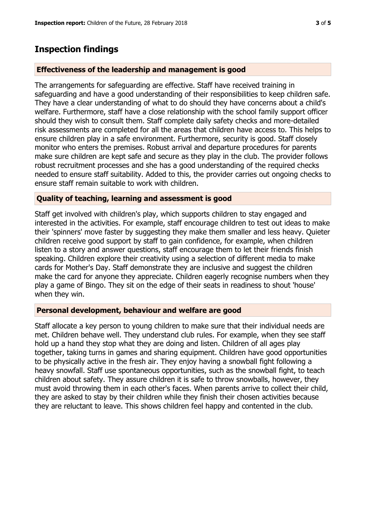## **Inspection findings**

#### **Effectiveness of the leadership and management is good**

The arrangements for safeguarding are effective. Staff have received training in safeguarding and have a good understanding of their responsibilities to keep children safe. They have a clear understanding of what to do should they have concerns about a child's welfare. Furthermore, staff have a close relationship with the school family support officer should they wish to consult them. Staff complete daily safety checks and more-detailed risk assessments are completed for all the areas that children have access to. This helps to ensure children play in a safe environment. Furthermore, security is good. Staff closely monitor who enters the premises. Robust arrival and departure procedures for parents make sure children are kept safe and secure as they play in the club. The provider follows robust recruitment processes and she has a good understanding of the required checks needed to ensure staff suitability. Added to this, the provider carries out ongoing checks to ensure staff remain suitable to work with children.

#### **Quality of teaching, learning and assessment is good**

Staff get involved with children's play, which supports children to stay engaged and interested in the activities. For example, staff encourage children to test out ideas to make their 'spinners' move faster by suggesting they make them smaller and less heavy. Quieter children receive good support by staff to gain confidence, for example, when children listen to a story and answer questions, staff encourage them to let their friends finish speaking. Children explore their creativity using a selection of different media to make cards for Mother's Day. Staff demonstrate they are inclusive and suggest the children make the card for anyone they appreciate. Children eagerly recognise numbers when they play a game of Bingo. They sit on the edge of their seats in readiness to shout 'house' when they win.

#### **Personal development, behaviour and welfare are good**

Staff allocate a key person to young children to make sure that their individual needs are met. Children behave well. They understand club rules. For example, when they see staff hold up a hand they stop what they are doing and listen. Children of all ages play together, taking turns in games and sharing equipment. Children have good opportunities to be physically active in the fresh air. They enjoy having a snowball fight following a heavy snowfall. Staff use spontaneous opportunities, such as the snowball fight, to teach children about safety. They assure children it is safe to throw snowballs, however, they must avoid throwing them in each other's faces. When parents arrive to collect their child, they are asked to stay by their children while they finish their chosen activities because they are reluctant to leave. This shows children feel happy and contented in the club.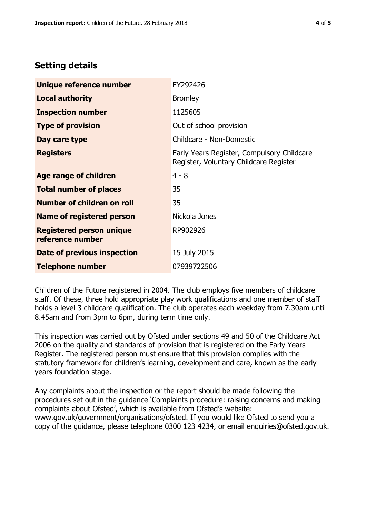# **Setting details**

| Unique reference number                             | EY292426                                                                             |  |
|-----------------------------------------------------|--------------------------------------------------------------------------------------|--|
| <b>Local authority</b>                              | <b>Bromley</b>                                                                       |  |
| <b>Inspection number</b>                            | 1125605                                                                              |  |
| <b>Type of provision</b>                            | Out of school provision                                                              |  |
| Day care type                                       | Childcare - Non-Domestic                                                             |  |
| <b>Registers</b>                                    | Early Years Register, Compulsory Childcare<br>Register, Voluntary Childcare Register |  |
| Age range of children                               | $4 - 8$                                                                              |  |
| <b>Total number of places</b>                       | 35                                                                                   |  |
| Number of children on roll                          | 35                                                                                   |  |
| Name of registered person                           | Nickola Jones                                                                        |  |
| <b>Registered person unique</b><br>reference number | RP902926                                                                             |  |
| Date of previous inspection                         | 15 July 2015                                                                         |  |
| <b>Telephone number</b>                             | 07939722506                                                                          |  |

Children of the Future registered in 2004. The club employs five members of childcare staff. Of these, three hold appropriate play work qualifications and one member of staff holds a level 3 childcare qualification. The club operates each weekday from 7.30am until 8.45am and from 3pm to 6pm, during term time only.

This inspection was carried out by Ofsted under sections 49 and 50 of the Childcare Act 2006 on the quality and standards of provision that is registered on the Early Years Register. The registered person must ensure that this provision complies with the statutory framework for children's learning, development and care, known as the early years foundation stage.

Any complaints about the inspection or the report should be made following the procedures set out in the guidance 'Complaints procedure: raising concerns and making complaints about Ofsted', which is available from Ofsted's website: www.gov.uk/government/organisations/ofsted. If you would like Ofsted to send you a copy of the guidance, please telephone 0300 123 4234, or email enquiries@ofsted.gov.uk.